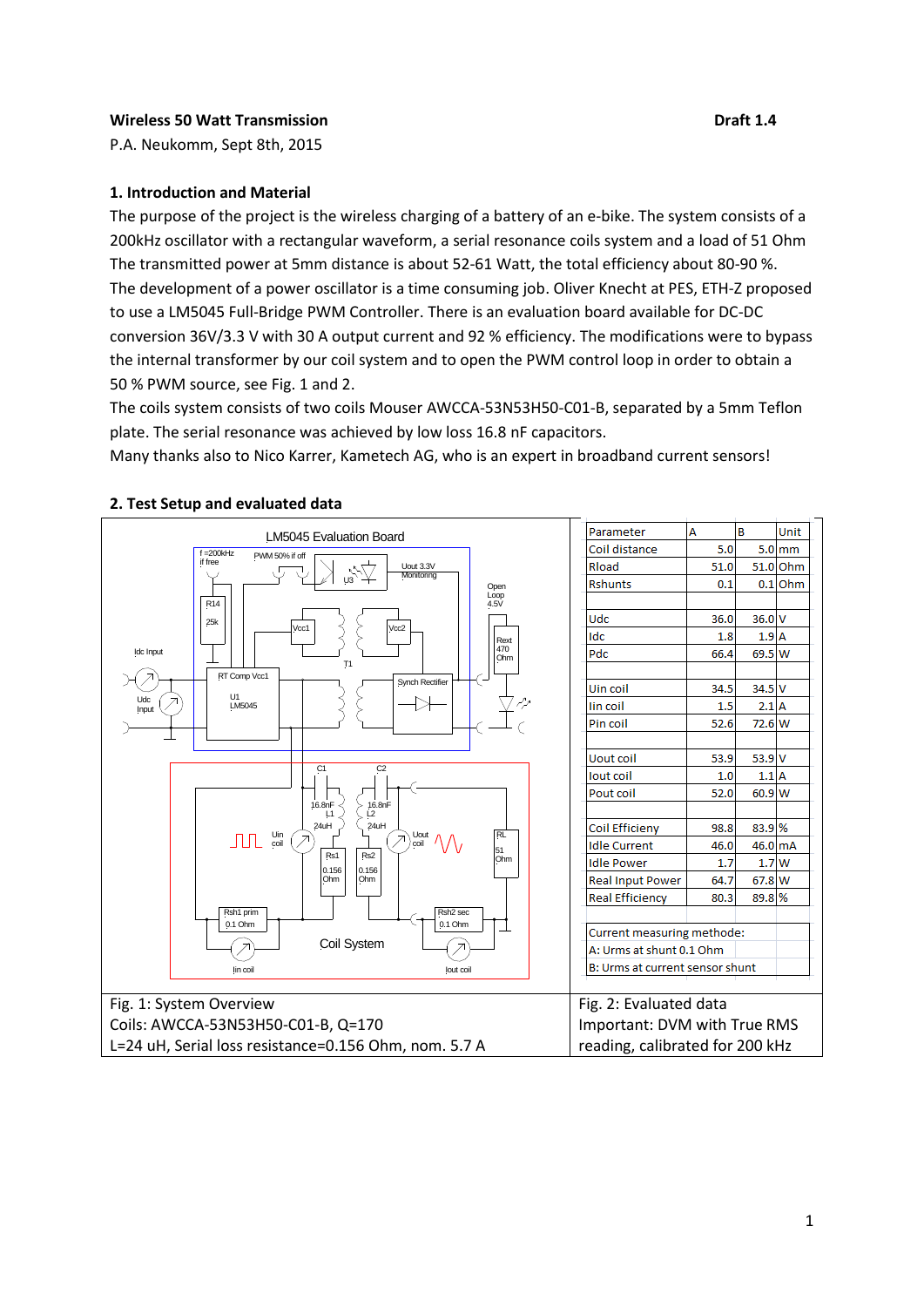#### **Wireless 50 Watt Transmission Draft 1.4 Draft 1.4**

P.A. Neukomm, Sept 8th, 2015

## **1. Introduction and Material**

The purpose of the project is the wireless charging of a battery of an e-bike. The system consists of a 200kHz oscillator with a rectangular waveform, a serial resonance coils system and a load of 51 Ohm The transmitted power at 5mm distance is about 52-61 Watt, the total efficiency about 80-90 %. The development of a power oscillator is a time consuming job. Oliver Knecht at PES, ETH-Z proposed to use a LM5045 Full-Bridge PWM Controller. There is an evaluation board available for DC-DC conversion 36V/3.3 V with 30 A output current and 92 % efficiency. The modifications were to bypass the internal transformer by our coil system and to open the PWM control loop in order to obtain a 50 % PWM source, see Fig. 1 and 2.

The coils system consists of two coils Mouser AWCCA-53N53H50-C01-B, separated by a 5mm Teflon plate. The serial resonance was achieved by low loss 16.8 nF capacitors.

Many thanks also to Nico Karrer, Kametech AG, who is an expert in broadband current sensors!



# **2. Test Setup and evaluated data**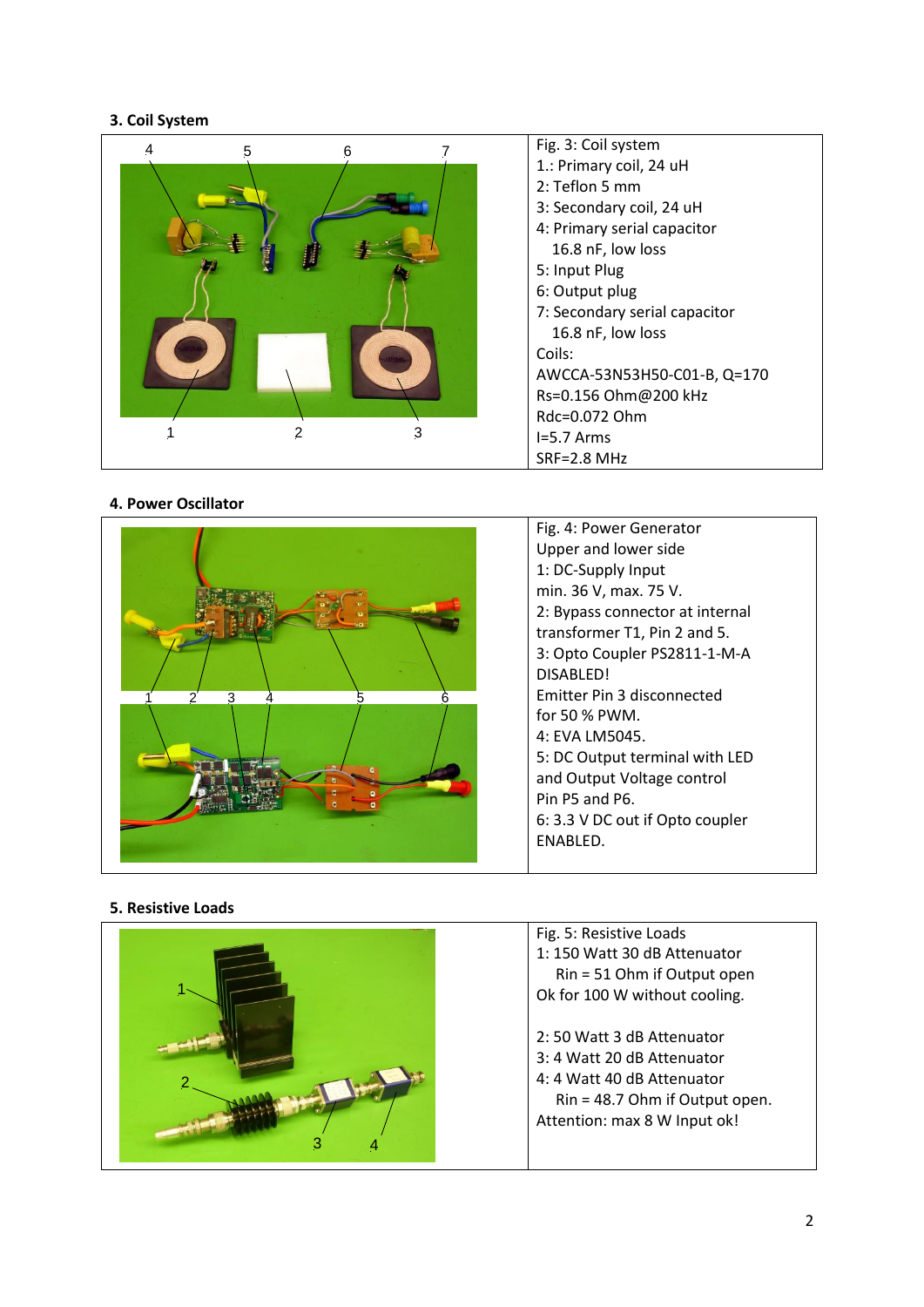## **3. Coil System**



## **4. Power Oscillator**



Fig. 4 : Power Generator Upper and lower side 1: DC -Supply Input min . 36 V, max . 75 V . 2: Bypass connector at internal transformer T1, Pin 2 and 5. 3: Opto Coupler PS2811-1-M-A DISABLED! Emitter Pin 3 disconnected for 50 % PWM. 4: EVA LM5045. 5: DC Output terminal with LED and Output Voltage control Pin P5 and P6. 6: 3.3 V DC out if Opto coupler ENABLED.

## **5. Resistive Loads**

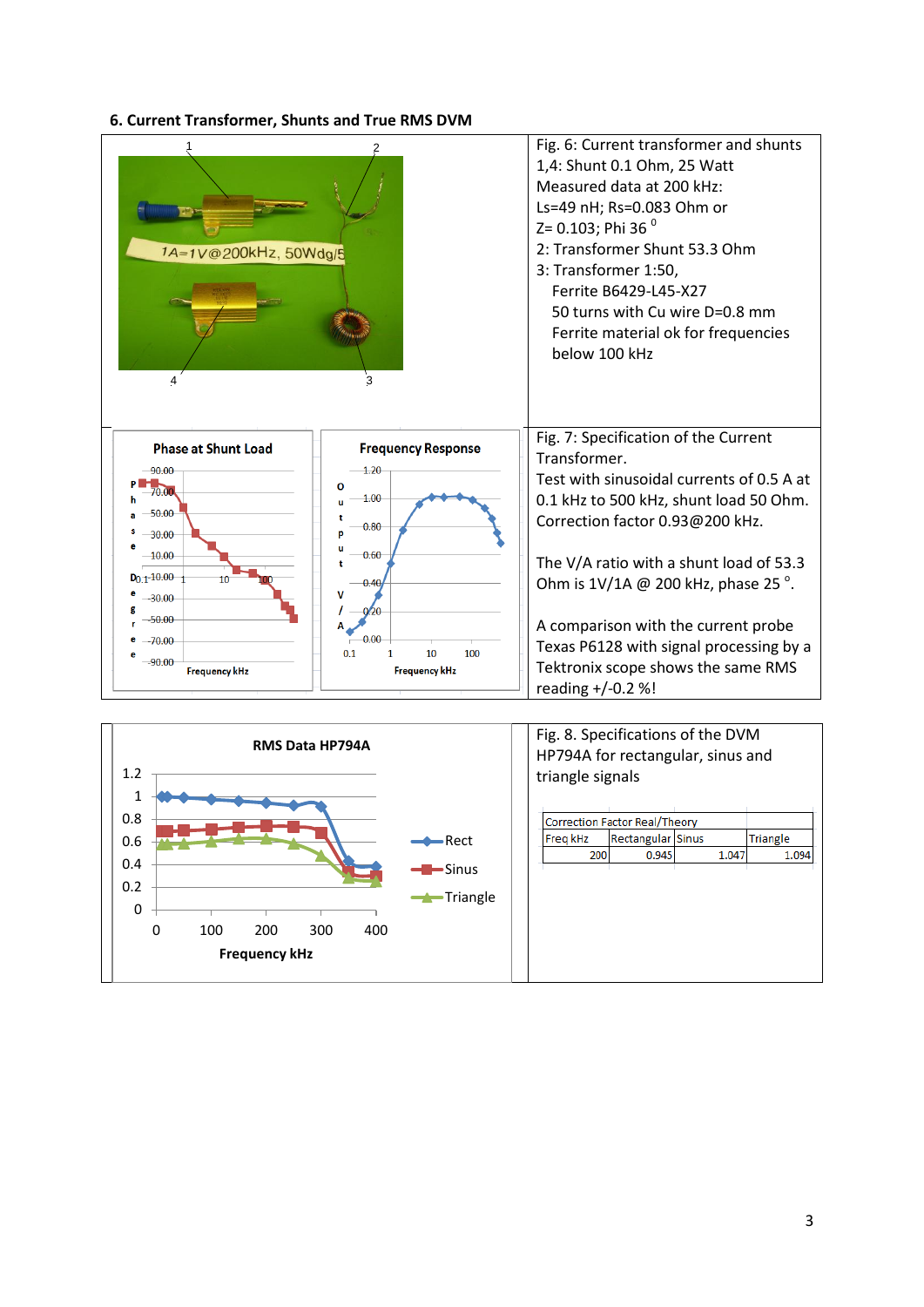## **6. Current Transformer, Shunts and True RMS DVM**

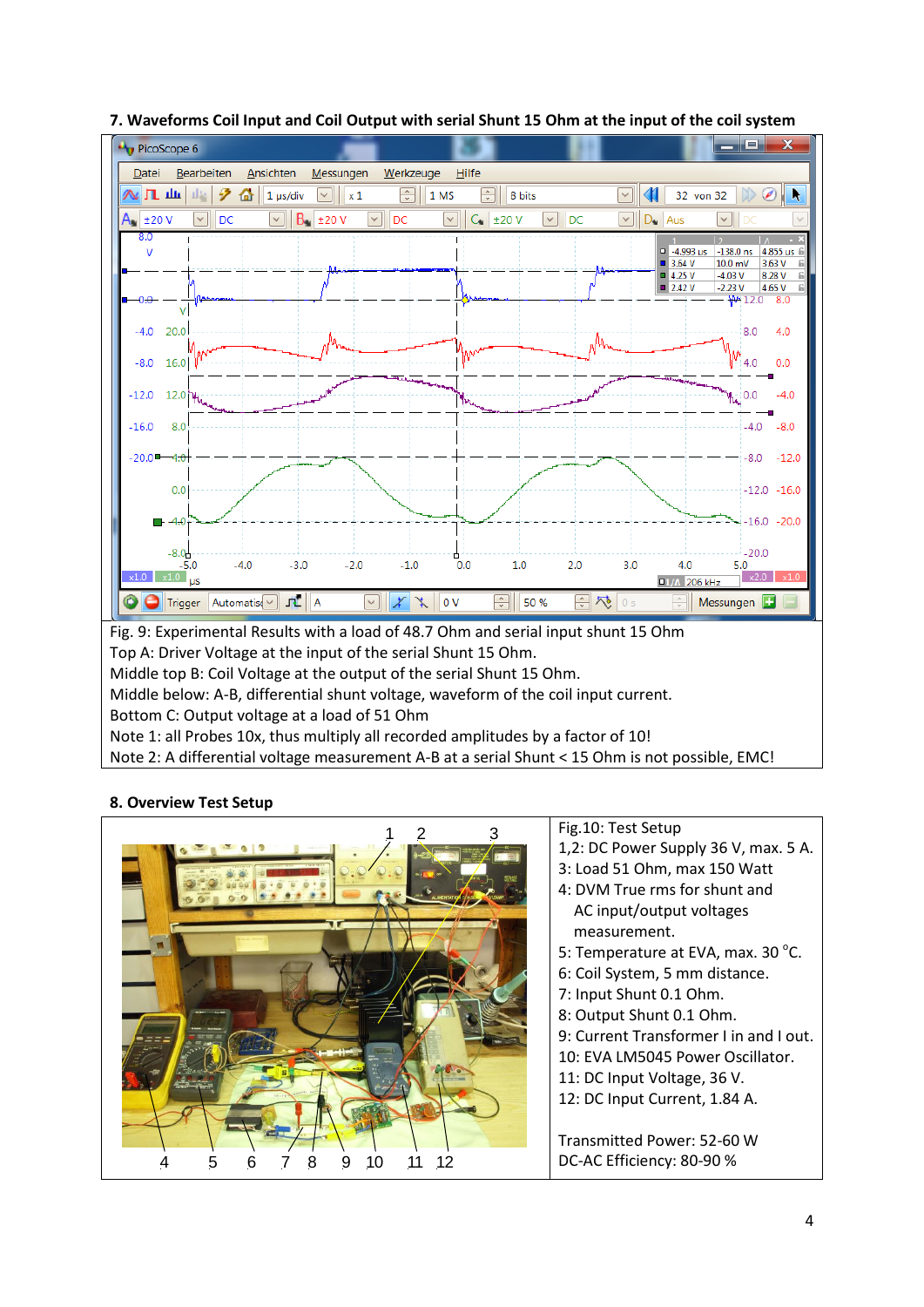

# **7. Waveforms Coil Input and Coil Output with serial Shunt 15 Ohm at the input of the coil system**

#### **8. Overview Test Setup**

|         | Fig.10: Test Setup                     |
|---------|----------------------------------------|
|         | 1,2: DC Power Supply 36 V, max. 5 A.   |
|         | 3: Load 51 Ohm, max 150 Watt           |
|         | 4: DVM True rms for shunt and          |
|         | AC input/output voltages               |
|         | measurement.                           |
|         | 5: Temperature at EVA, max. 30 °C.     |
|         | 6: Coil System, 5 mm distance.         |
|         | 7: Input Shunt 0.1 Ohm.                |
|         | 8: Output Shunt 0.1 Ohm.               |
|         | 9: Current Transformer I in and I out. |
|         | 10: EVA LM5045 Power Oscillator.       |
|         | 11: DC Input Voltage, 36 V.            |
|         | 12: DC Input Current, 1.84 A.          |
|         |                                        |
|         | Transmitted Power: 52-60 W             |
| 10<br>9 | DC-AC Efficiency: 80-90 %              |
|         |                                        |